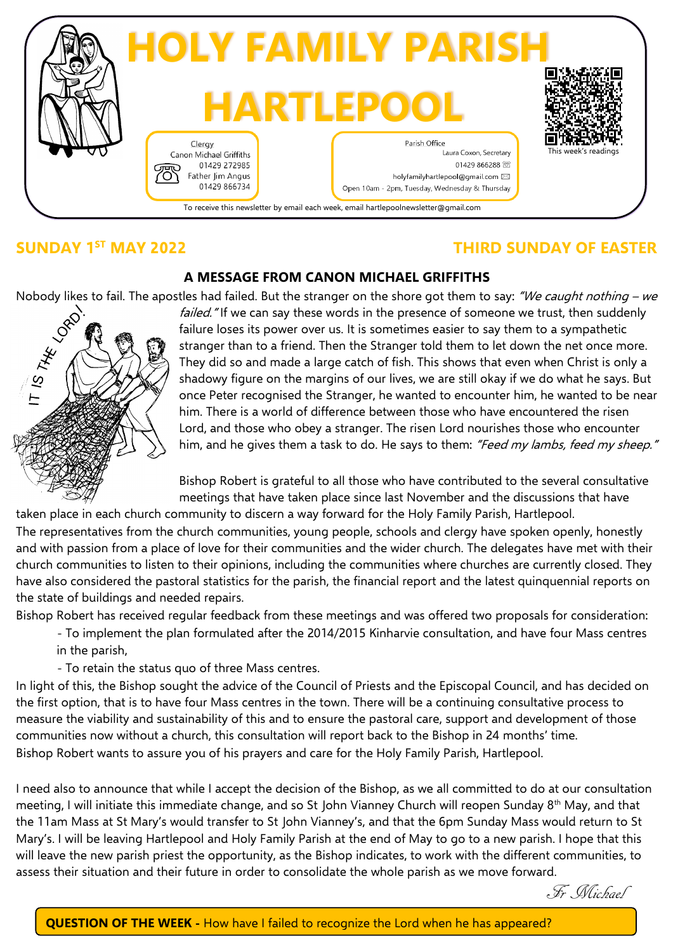

## **SUNDAY 1<sup>ST</sup> MAY 2022**

## **ST MAY 2022 THIRD SUNDAY OF EASTER**

### **A MESSAGE FROM CANON MICHAEL GRIFFITHS**



Nobody likes to fail. The apostles had failed. But the stranger on the shore got them to say: "We caught nothing – we failed." If we can say these words in the presence of someone we trust, then suddenly failure loses its failed." If we can say these words in the presence of someone we trust, then suddenly failure loses its power over us. It is sometimes easier to say them to a sympathetic stranger than to a friend. Then the Stranger told them to let down the net once more. They did so and made a large catch of fish. This shows that even when Christ is only a shadowy figure on the margins of our lives, we are still okay if we do what he says. But once Peter recognised the Stranger, he wanted to encounter him, he wanted to be near him. There is a world of difference between those who have encountered the risen Lord, and those who obey a stranger. The risen Lord nourishes those who encounter him, and he gives them a task to do. He says to them: "Feed my lambs, feed my sheep."

> Bishop Robert is grateful to all those who have contributed to the several consultative meetings that have taken place since last November and the discussions that have

taken place in each church community to discern a way forward for the Holy Family Parish, Hartlepool. The representatives from the church communities, young people, schools and clergy have spoken openly, honestly and with passion from a place of love for their communities and the wider church. The delegates have met with their church communities to listen to their opinions, including the communities where churches are currently closed. They have also considered the pastoral statistics for the parish, the financial report and the latest quinquennial reports on the state of buildings and needed repairs.

Bishop Robert has received regular feedback from these meetings and was offered two proposals for consideration:

- To implement the plan formulated after the 2014/2015 Kinharvie consultation, and have four Mass centres in the parish,

- To retain the status quo of three Mass centres.

In light of this, the Bishop sought the advice of the Council of Priests and the Episcopal Council, and has decided on the first option, that is to have four Mass centres in the town. There will be a continuing consultative process to measure the viability and sustainability of this and to ensure the pastoral care, support and development of those communities now without a church, this consultation will report back to the Bishop in 24 months' time. Bishop Robert wants to assure you of his prayers and care for the Holy Family Parish, Hartlepool.

I need also to announce that while I accept the decision of the Bishop, as we all committed to do at our consultation meeting, I will initiate this immediate change, and so St John Vianney Church will reopen Sunday  $8<sup>th</sup>$  May, and that the 11am Mass at St Mary's would transfer to St John Vianney's, and that the 6pm Sunday Mass would return to St Mary's. I will be leaving Hartlepool and Holy Family Parish at the end of May to go to a new parish. I hope that this will leave the new parish priest the opportunity, as the Bishop indicates, to work with the different communities, to assess their situation and their future in order to consolidate the whole parish as we move forward.

Fr Michael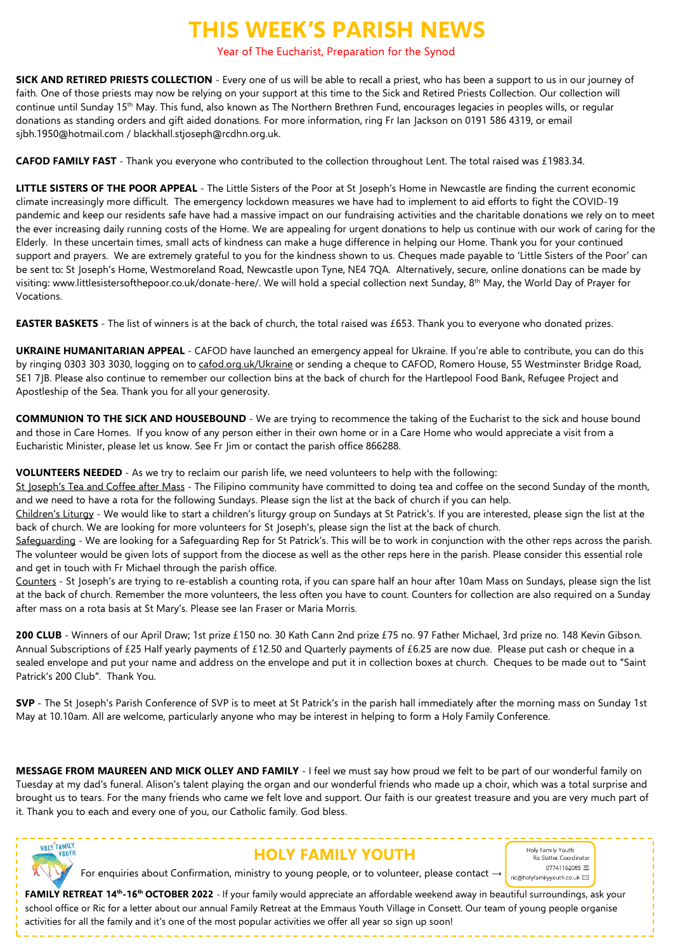## **THIS WEEK'S PARISH NEWS**

Year of The Eucharist, Preparation for the Synod

**SICK AND RETIRED PRIESTS COLLECTION** - Every one of us will be able to recall a priest, who has been a support to us in our journey of faith. One of those priests may now be relying on your support at this time to the Sick and Retired Priests Collection. Our collection will continue until Sunday 15<sup>th</sup> May. This fund, also known as The Northern Brethren Fund, encourages legacies in peoples wills, or regular donations as standing orders and gift aided donations. For more information, ring Fr Ian Jackson on 0191 586 4319, or email sjbh.1950@hotmail.com / blackhall.stjoseph@rcdhn.org.uk.

**CAFOD FAMILY FAST** - Thank you everyone who contributed to the collection throughout Lent. The total raised was £1983.34.

**LITTLE SISTERS OF THE POOR APPEAL** - The Little Sisters of the Poor at St Joseph's Home in Newcastle are finding the current economic climate increasingly more difficult. The emergency lockdown measures we have had to implement to aid efforts to fight the COVID-19 pandemic and keep our residents safe have had a massive impact on our fundraising activities and the charitable donations we rely on to meet the ever increasing daily running costs of the Home. We are appealing for urgent donations to help us continue with our work of caring for the Elderly. In these uncertain times, small acts of kindness can make a huge difference in helping our Home. Thank you for your continued support and prayers. We are extremely grateful to you for the kindness shown to us. Cheques made payable to 'Little Sisters of the Poor' can be sent to: St Joseph's Home, Westmoreland Road, Newcastle upon Tyne, NE4 7QA. Alternatively, secure, online donations can be made by visiting: www.littlesistersofthepoor.co.uk/donate-here/. We will hold a special collection next Sunday, 8th May, the World Day of Prayer for Vocations.

**EASTER BASKETS** - The list of winners is at the back of church, the total raised was £653. Thank you to everyone who donated prizes.

**UKRAINE HUMANITARIAN APPEAL** - CAFOD have launched an emergency appeal for Ukraine. If you're able to contribute, you can do this by ringing 0303 303 3030, logging on to [cafod.org.uk/Ukraine](http://cafod.org.uk/Ukraine) or sending a cheque to CAFOD, Romero House, 55 Westminster Bridge Road, SE1 7JB. Please also continue to remember our collection bins at the back of church for the Hartlepool Food Bank, Refugee Project and Apostleship of the Sea. Thank you for all your generosity.

**COMMUNION TO THE SICK AND HOUSEBOUND** - We are trying to recommence the taking of the Eucharist to the sick and house bound and those in Care Homes. If you know of any person either in their own home or in a Care Home who would appreciate a visit from a Eucharistic Minister, please let us know. See Fr Jim or contact the parish office 866288.

**VOLUNTEERS NEEDED** - As we try to reclaim our parish life, we need volunteers to help with the following:

St Joseph's Tea and Coffee after Mass - The Filipino community have committed to doing tea and coffee on the second Sunday of the month, and we need to have a rota for the following Sundays. Please sign the list at the back of church if you can help.

Children's Liturgy - We would like to start a children's liturgy group on Sundays at St Patrick's. If you are interested, please sign the list at the back of church. We are looking for more volunteers for St Joseph's, please sign the list at the back of church.

Safeguarding - We are looking for a Safeguarding Rep for St Patrick's. This will be to work in conjunction with the other reps across the parish. The volunteer would be given lots of support from the diocese as well as the other reps here in the parish. Please consider this essential role and get in touch with Fr Michael through the parish office.

Counters - St Joseph's are trying to re-establish a counting rota, if you can spare half an hour after 10am Mass on Sundays, please sign the list at the back of church. Remember the more volunteers, the less often you have to count. Counters for collection are also required on a Sunday after mass on a rota basis at St Mary's. Please see Ian Fraser or Maria Morris.

**200 CLUB** - Winners of our April Draw; 1st prize £150 no. 30 Kath Cann 2nd prize £75 no. 97 Father Michael, 3rd prize no. 148 Kevin Gibson. Annual Subscriptions of £25 Half yearly payments of £12.50 and Quarterly payments of £6.25 are now due. Please put cash or cheque in a sealed envelope and put your name and address on the envelope and put it in collection boxes at church. Cheques to be made out to "Saint Patrick's 200 Club". Thank You.

**SVP** - The St Joseph's Parish Conference of SVP is to meet at St Patrick's in the parish hall immediately after the morning mass on Sunday 1st May at 10.10am. All are welcome, particularly anyone who may be interest in helping to form a Holy Family Conference.

**MESSAGE FROM MAUREEN AND MICK OLLEY AND FAMILY** - I feel we must say how proud we felt to be part of our wonderful family on Tuesday at my dad's funeral. Alison's talent playing the organ and our wonderful friends who made up a choir, which was a total surprise and brought us to tears. For the many friends who came we felt love and support. Our faith is our greatest treasure and you are very much part of it. Thank you to each and every one of you, our Catholic family. God bless.



## **HOLY FAMILY YOUTH**

Holy Family Youth Ric Slatter, Coordinator 07741162085 (零) ric@holyfamilyyouth.co.uk  $\boxtimes$ 

**FAMILY RETREAT 14th -16th OCTOBER 2022** - If your family would appreciate an affordable weekend away in beautiful surroundings, ask your school office or Ric for a letter about our annual Family Retreat at the Emmaus Youth Village in Consett. Our team of young people organise activities for all the family and it's one of the most popular activities we offer all year so sign up soon!

For enquiries about Confirmation, ministry to young people, or to volunteer, please contact →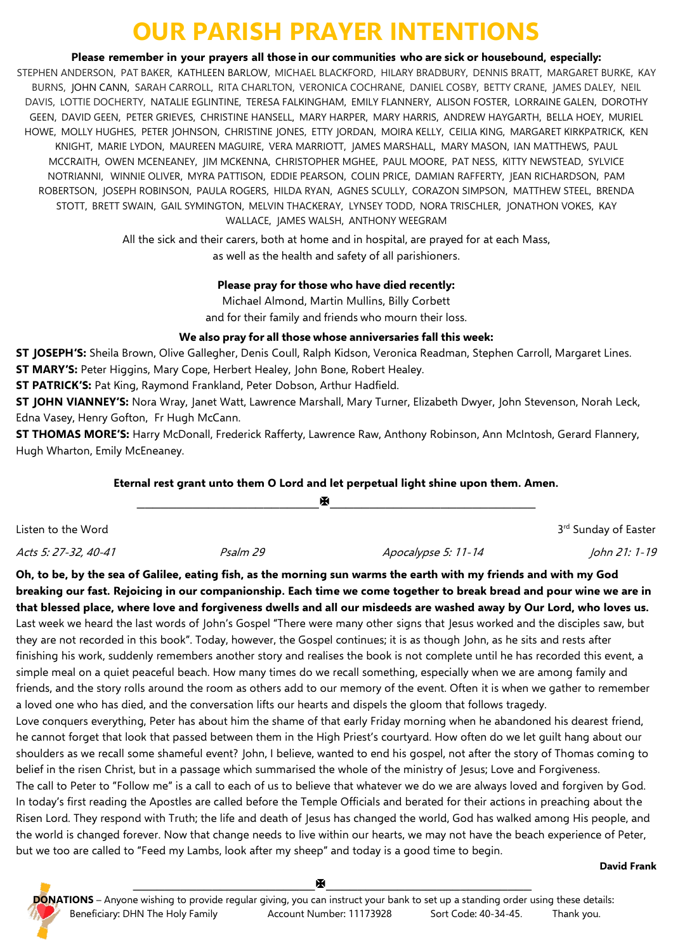# **OUR PARISH PRAYER INTENTIONS**

**Please remember in your prayers all those in our communities who are sick or housebound, especially:**

STEPHEN ANDERSON, PAT BAKER, KATHLEEN BARLOW, MICHAEL BLACKFORD, HILARY BRADBURY, DENNIS BRATT, MARGARET BURKE, KAY BURNS, JOHN CANN, SARAH CARROLL, RITA CHARLTON, VERONICA COCHRANE, DANIEL COSBY, BETTY CRANE, JAMES DALEY, NEIL DAVIS, LOTTIE DOCHERTY, NATALIE EGLINTINE, TERESA FALKINGHAM, EMILY FLANNERY, ALISON FOSTER, LORRAINE GALEN, DOROTHY GEEN, DAVID GEEN, PETER GRIEVES, CHRISTINE HANSELL, MARY HARPER, MARY HARRIS, ANDREW HAYGARTH, BELLA HOEY, MURIEL HOWE, MOLLY HUGHES, PETER JOHNSON, CHRISTINE JONES, ETTY JORDAN, MOIRA KELLY, CEILIA KING, MARGARET KIRKPATRICK, KEN KNIGHT, MARIE LYDON, MAUREEN MAGUIRE, VERA MARRIOTT, JAMES MARSHALL, MARY MASON, IAN MATTHEWS, PAUL MCCRAITH, OWEN MCENEANEY, JIM MCKENNA, CHRISTOPHER MGHEE, PAUL MOORE, PAT NESS, KITTY NEWSTEAD, SYLVICE NOTRIANNI, WINNIE OLIVER, MYRA PATTISON, EDDIE PEARSON, COLIN PRICE, DAMIAN RAFFERTY, JEAN RICHARDSON, PAM ROBERTSON, JOSEPH ROBINSON, PAULA ROGERS, HILDA RYAN, AGNES SCULLY, CORAZON SIMPSON, MATTHEW STEEL, BRENDA STOTT, BRETT SWAIN, GAIL SYMINGTON, MELVIN THACKERAY, LYNSEY TODD, NORA TRISCHLER, JONATHON VOKES, KAY WALLACE, JAMES WALSH, ANTHONY WEEGRAM

> All the sick and their carers, both at home and in hospital, are prayed for at each Mass, as well as the health and safety of all parishioners.

### **Please pray for those who have died recently:**

Michael Almond, Martin Mullins, Billy Corbett

and for their family and friends who mourn their loss.

### **We also pray for all those whose anniversaries fall this week:**

**ST JOSEPH'S:** Sheila Brown, Olive Gallegher, Denis Coull, Ralph Kidson, Veronica Readman, Stephen Carroll, Margaret Lines. **ST MARY'S:** Peter Higgins, Mary Cope, Herbert Healey, John Bone, Robert Healey.

**ST PATRICK'S:** Pat King, Raymond Frankland, Peter Dobson, Arthur Hadfield.

**ST JOHN VIANNEY'S:** Nora Wray, Janet Watt, Lawrence Marshall, Mary Turner, Elizabeth Dwyer, John Stevenson, Norah Leck, Edna Vasey, Henry Gofton, Fr Hugh McCann.

**ST THOMAS MORE'S:** Harry McDonall, Frederick Rafferty, Lawrence Raw, Anthony Robinson, Ann McIntosh, Gerard Flannery, Hugh Wharton, Emily McEneaney.

### **Eternal rest grant unto them O Lord and let perpetual light shine upon them. Amen.**

|                      |          | м                   |                      |
|----------------------|----------|---------------------|----------------------|
| Listen to the Word   |          |                     | 3rd Sunday of Easter |
| Acts 5: 27-32, 40-41 | Psalm 29 | Apocalypse 5: 11-14 | John 21: 1-19        |

**Oh, to be, by the sea of Galilee, eating fish, as the morning sun warms the earth with my friends and with my God breaking our fast. Rejoicing in our companionship. Each time we come together to break bread and pour wine we are in that blessed place, where love and forgiveness dwells and all our misdeeds are washed away by Our Lord, who loves us.** Last week we heard the last words of John's Gospel "There were many other signs that Jesus worked and the disciples saw, but they are not recorded in this book". Today, however, the Gospel continues; it is as though John, as he sits and rests after finishing his work, suddenly remembers another story and realises the book is not complete until he has recorded this event, a simple meal on a quiet peaceful beach. How many times do we recall something, especially when we are among family and friends, and the story rolls around the room as others add to our memory of the event. Often it is when we gather to remember a loved one who has died, and the conversation lifts our hearts and dispels the gloom that follows tragedy.

Love conquers everything, Peter has about him the shame of that early Friday morning when he abandoned his dearest friend, he cannot forget that look that passed between them in the High Priest's courtyard. How often do we let guilt hang about our shoulders as we recall some shameful event? John, I believe, wanted to end his gospel, not after the story of Thomas coming to belief in the risen Christ, but in a passage which summarised the whole of the ministry of Jesus; Love and Forgiveness.

The call to Peter to "Follow me" is a call to each of us to believe that whatever we do we are always loved and forgiven by God. In today's first reading the Apostles are called before the Temple Officials and berated for their actions in preaching about the Risen Lord. They respond with Truth; the life and death of Jesus has changed the world, God has walked among His people, and the world is changed forever. Now that change needs to live within our hearts, we may not have the beach experience of Peter, but we too are called to "Feed my Lambs, look after my sheep" and today is a good time to begin.

#### **David Frank**

**\_\_\_\_\_\_\_\_\_\_\_\_\_\_\_\_\_\_\_\_\_\_\_\_\_\_\_\_\_\_\_\_\_\_\_\_\_\_\_\_\_\_\_\_\_\_\_\_\_ DONATIONS** – Anyone wishing to provide regular giving, you can instruct your bank to set up a standing order using these details: Beneficiary: DHN The Holy Family Account Number: 11173928 Sort Code: 40-34-45. Thank you.